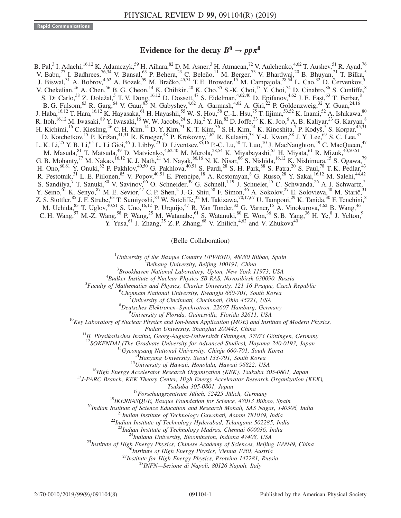## Evidence for the decay  $B^0 \rightarrow p\bar{p}\pi^0$

B. Pal,<sup>3</sup> I. Adachi,<sup>16,12</sup> K. Adamczyk,<sup>59</sup> H. Aihara,<sup>82</sup> D. M. Asner,<sup>3</sup> H. Atmacan,<sup>72</sup> V. Aulchenko,<sup>4,62</sup> T. Aushev,<sup>51</sup> R. Ayad,<sup>76</sup> V. Babu,  $^{77}$  I. Badhrees,  $^{76,34}$  V. Bansal,  $^{63}$  P. Behera,  $^{23}$  C. Beleño,  $^{11}$  M. Berger,  $^{73}$  V. Bhardwaj,  $^{20}$  B. Bhuyan,  $^{21}$  T. Bilka,  $^{5}$ J. Biswal,<sup>31</sup> A. Bobrov,<sup>4,62</sup> A. Bozek,<sup>59</sup> M. Bračko,<sup>45,31</sup> T. E. Browder,<sup>15</sup> M. Campajola,<sup>28,54</sup> L. Cao,<sup>32</sup> D. Červenkov,<sup>5</sup> V. Chekelian,  $^{46}$  A. Chen,  $^{56}$  B. G. Cheon,  $^{14}$  K. Chilikin,  $^{40}$  K. Cho,  $^{35}$  S.-K. Choi,  $^{13}$  Y. Choi,  $^{74}$  D. Cinabro,  $^{86}$  S. Cunliffe,  $^{8}$ S. Di Carlo,<sup>38</sup> Z. Doležal,<sup>5</sup> T. V. Dong,<sup>16,12</sup> D. Dossett,<sup>47</sup> S. Eidelman,<sup>4,62,40</sup> D. Epifanov,<sup>4,62</sup> J. E. Fast,<sup>63</sup> T. Ferber,<sup>8</sup> B. G. Fulsom,  $^{63}$  R. Garg,  $^{64}$  V. Gaur,  $^{85}$  N. Gabyshev,  $^{4,62}$  A. Garmash,  $^{4,62}$  A. Giri,  $^{22}$  P. Goldenzweig,  $^{32}$  Y. Guan,  $^{24,16}$ J. Haba, <sup>16,12</sup> T. Hara, <sup>16,12</sup> K. Hayasaka, <sup>61</sup> H. Hayashii,<sup>55</sup> W.-S. Hou,<sup>58</sup> C.-L. Hsu,<sup>75</sup> T. Iijima,<sup>53,52</sup> K. Inami,<sup>52</sup> A. Ishikawa,<sup>80</sup> R. Itoh,  $^{16,12}$  M. Iwasaki,  $^{89}$  Y. Iwasaki,  $^{16}$  W. W. Jacobs,  $^{24}$  S. Jia,  $^2$  Y. Jin,  $^{82}$  D. Joffe,  $^{33}$  K. K. Joo,  $^6$  A. B. Kaliyar,  $^{23}$  G. Karyan,  $^8$ H. Kichimi, <sup>16</sup> C. Kiesling, <sup>46</sup> C. H. Kim, <sup>14</sup> D. Y. Kim, <sup>71</sup> K. T. Kim, <sup>36</sup> S. H. Kim, <sup>14</sup> K. Kinoshita, <sup>7</sup> P. Kodyš, <sup>5</sup> S. Korpar, <sup>45,31</sup> D. Kotchetkov,<sup>15</sup> P. Križan,<sup>41,31</sup> R. Kroeger,<sup>48</sup> P. Krokovny,<sup>4,62</sup> R. Kulasiri,<sup>33</sup> Y.-J. Kwon,<sup>88</sup> J. Y. Lee,<sup>69</sup> S. C. Lee,<sup>37</sup> L. K. Li,<sup>25</sup> Y. B. Li,<sup>65</sup> L. Li Gioi,<sup>46</sup> J. Libby,<sup>23</sup> D. Liventsev, <sup>85,16</sup> P.-C. Lu,<sup>58</sup> T. Luo,<sup>10</sup> J. MacNaughton,<sup>49</sup> C. MacQueen,<sup>47</sup> M. Masuda, 81 T. Matsuda, <sup>49</sup> D. Matvienko, <sup>4,62,40</sup> M. Merola, <sup>28,54</sup> K. Miyabayashi, <sup>55</sup> H. Miyata, <sup>61</sup> R. Mizuk, <sup>40,50,51</sup> G. B. Mohanty,<sup>77</sup> M. Nakao,<sup>16,12</sup> K. J. Nath,<sup>21</sup> M. Nayak,<sup>86,16</sup> N. K. Nisar,<sup>66</sup> S. Nishida,<sup>16,12</sup> K. Nishimura,<sup>15</sup> S. Ogawa,<sup>79</sup> H. Ono,  $60,61$  Y. Onuki,  $82$  P. Pakhlov,  $40,50$  G. Pakhlova,  $40,51$  S. Pardi,  $28$  S.-H. Park,  $88$  S. Patra,  $20$  S. Paul,  $78$  T. K. Pedlar,  $43$ R. Pestotnik,<sup>31</sup> L. E. Piilonen,<sup>85</sup> V. Popov,<sup>40,51</sup> E. Prencipe,<sup>18</sup> A. Rostomyan,<sup>8</sup> G. Russo,<sup>28</sup> Y. Sakai,<sup>16,12</sup> M. Salehi,<sup>44,42</sup> S. Sandilya,<sup>7</sup> T. Sanuki,<sup>80</sup> V. Savinov,<sup>66</sup> O. Schneider,<sup>39</sup> G. Schnell,<sup>1,19</sup> J. Schueler,<sup>15</sup> C. Schwanda,<sup>26</sup> A. J. Schwartz,<sup>7</sup> Y. Seino,  ${}^{61}$  K. Senyo,  ${}^{87}$  M. E. Sevior,  ${}^{47}$  C. P. Shen,  ${}^{2}$  J.-G. Shiu,  ${}^{58}$  F. Simon,  ${}^{46}$  A. Sokolov,  ${}^{27}$  E. Solovieva,  ${}^{40}$  M. Starič,  ${}^{31}$ Z. S. Stottler,<sup>85</sup> J. F. Strube,<sup>63</sup> T. Sumiyoshi,<sup>84</sup> W. Sutcliffe,<sup>32</sup> M. Takizawa,<sup>70,17,67</sup> U. Tamponi,<sup>29</sup> K. Tanida,<sup>30</sup> F. Tenchini,<sup>8</sup> M. Uchida,  $^{83}_{-}$  T. Uglov,  $^{40,51}$  S. Uno,  $^{16,12}$  P. Urquijo,  $^{47}$  R. Van Tonder,  $^{32}$  G. Varner,  $^{15}$  A. Vinokurova,  $^{4,62}$  B. Wang,  $^{46}$ C. H. Wang,<sup>57</sup> M.-Z. Wang,<sup>58</sup> P. Wang,<sup>25</sup> M. Watanabe,<sup>61</sup> S. Watanuki,<sup>80</sup> E. Won,<sup>36</sup> S. B. Yang,<sup>36</sup> H. Ye,<sup>8</sup> J. Yelton,<sup>9</sup> Y. Yusa,<sup>61</sup> J. Zhang,<sup>25</sup> Z. P. Zhang,<sup>68</sup> V. Zhilich,<sup>4,62</sup> and V. Zhukova<sup>40</sup>

(Belle Collaboration)

<sup>1</sup>University of the Basque Country UPV/EHU, 48080 Bilbao, Spain  $\frac{2 \text{P} \text{o}}{2 \text{P} \text{o}}$  Iniversity, Paijing 100101, Ching

 $\mu^2$ Beihang University, Beijing 100191, China

<sup>3</sup>Brookhaven National Laboratory, Upton, New York 11973, USA

<sup>4</sup>Budker Institute of Nuclear Physics SB RAS, Novosibirsk 630090, Russia

 ${}^{5}$ Faculty of Mathematics and Physics, Charles University, 121 16 Prague, Czech Republic

<sup>6</sup>Chonnam National University, Kwangju 660-701, South Korea

University of Cincinnati, Cincinnati, Ohio 45221, USA

 $\delta$ Deutsches Elektronen–Synchrotron, 22607 Hamburg, Germany  $\delta$ University of Florida, Gainesville, Florida 32611, USA

 $^{10}$ Key Laboratory of Nuclear Physics and Ion-beam Application (MOE) and Institute of Modern Physics,

Fudan University, Shanghai 200443, China<br><sup>11</sup>II. Physikalisches Institut, Georg-August-Universität Göttingen, 37073 Göttingen, Germany<br><sup>12</sup>SOKENDAI (The Graduate University for Advanced Studies), Hayama 240-0193, Japan

<sup>13</sup>Gyeongsang National University, Chinju 660-701, South Korea<br><sup>14</sup>Hanyang University, Seoul 133-791, South Korea<br><sup>15</sup>University of Hawaii, Honolulu, Hawaii 96822, USA<br><sup>16</sup>High Energy Accelerator Research Organization (K

Tsukuba 305-0801, Japan<br><sup>18</sup> Forschungszentrum Jülich, 52425 Jülich, Germany<br><sup>19</sup> IKERBASQUE, Basque Foundation for Science, 48013 Bilbao, Spain<br><sup>20</sup> Indian Institute of Science Education and Research Mohali, SAS Nagar, 14

<sup>23</sup>Indian Institute of Technology Madras, Chennai 600036, India<br><sup>24</sup>Indiana University, Bloomington, Indiana 47408, USA<br><sup>25</sup>Institute of High Energy Physics, Chinese Academy of Sciences, Beijing 100049, China<br><sup>26</sup>Institu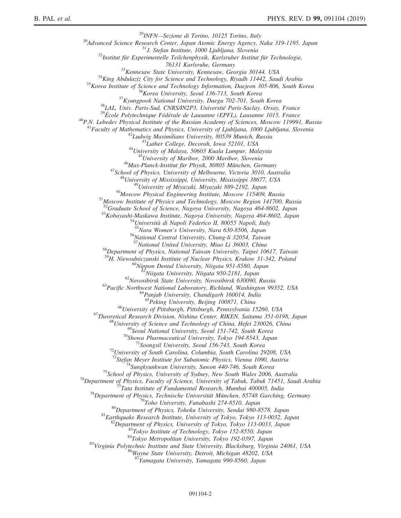<sup>29</sup>INFN—Sezione di Torino, 10125 Torino, Italy<br><sup>30</sup>Advanced Science Research Center, Japan Atomic Energy Agency, Naka 319-1195, Japan<br><sup>31</sup>J. Stefan Institute, 1000 Ljubljana, Slovenia<br><sup>32</sup>Institut für Experimentelle Teil <sup>33</sup>Kennesaw State University, Kennesaw, Georgia 30144, USA<br><sup>34</sup>King Abdulaziz City for Science and Technology, Riyadh 11442, Saudi Arabia<br><sup>35</sup>Korea Institute of Science and Technology Information, Daejeon 305-806, South <sup>41</sup>Faculty of Mathematics and Physics, University of Ljubljana, 1000 Ljubljana, Slovenia<br><sup>42</sup>Ludwig Maximilians University, 80539 Munich, Russia<br><sup>43</sup>Luther College, Decorah, Iowa 52101, USA<br><sup>44</sup>University of Malaya, 5060 <sup>51</sup>Moscow Institute of Physics and Technology, Moscow Region 141700, Russia<br><sup>52</sup>Graduate School of Science, Nagoya University, Nagoya 464-8602, Japan<br><sup>53</sup>Kobayashi-Maskawa Institute, Nagoya University, Nagoya 464-8602, J <sup>58</sup>Department of Physics, National Taiwan University, Taipei 10617, Taiwan <sup>59</sup>H. Niewodniczanski Institute of Nuclear Physics, Krakow 31-342, Poland <sup>60</sup>Nippon Dental University, Niigata 951-8580, Japan<br><sup>61</sup>Niigata University, Niigata 950-2181, Japan<br><sup>62</sup>Novosibirsk State University, Novosibirsk 630090, Russia<br><sup>63</sup>Pacific Northwest National Laboratory, Richland, Washi <sup>65</sup>University of Pittsburgh, Pittsburgh, Pennsylvania 15260, USA<br><sup>67</sup>Theoretical Research Division, Nishina Center, RIKEN, Saitama 351-0198, Japan<br><sup>68</sup>University of Science and Technology of China, Hefei 230026, China<br><sup>6</sup> <sup>70</sup>Showa Pharmaceutical University, Tokyo 194-8543, Japan<br><sup>71</sup>Soongsil University, Seoul 156-743, South Korea<br><sup>72</sup>University of South Carolina, Columbia, South Carolina 29208, USA<br><sup>73</sup>Stefan Meyer Institute for Subatomic <sup>73</sup>Stefan Meyer Institute for Subatomic Physics, Vienna 1090, Austria<br><sup>74</sup>Sungkyunkwan University, Suwon 440-746, South Korea<br><sup>75</sup>School of Physics, University of Sydney, New South Wales 2006, Australia<br><sup>76</sup>Department of <sup>87</sup>Yamagata University, Yamagata 990-8560, Japan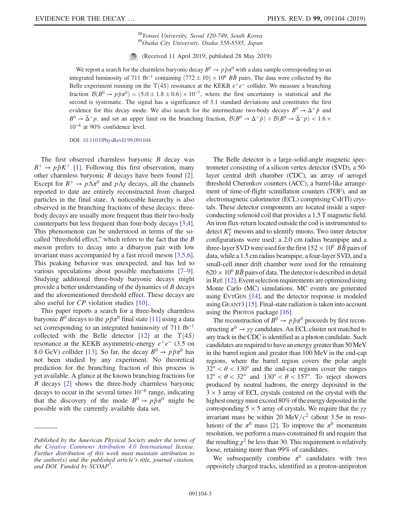<sup>88</sup>Yonsei University, Seoul 120-749, South Korea<br><sup>89</sup>Osaka City University, Osaka 558-8585, Japan

(Received 11 April 2019; published 28 May 2019)

We report a search for the charmless baryonic decay  $B^0 \to p\bar{p}\pi^0$  with a data sample corresponding to an integrated luminosity of 711 fb<sup>-1</sup> containing  $(772 \pm 10) \times 10^6$  *BB* pairs. The data were collected by the Belle experiment running on the  $\Upsilon(4S)$  resonance at the KEKB  $e^+e^-$  collider. We measure a branching fraction  $\mathcal{B}(B^0 \to p\bar{p}\pi^0) = (5.0 \pm 1.8 \pm 0.6) \times 10^{-7}$ , where the first uncertainty is statistical and the second is systematic. The signal has a significance of 3.1 standard deviations and constitutes the first evidence for this decay mode. We also search for the intermediate two-body decays  $B^0 \to \Delta^+ \bar{p}$  and  $B^0 \to \bar{\Delta}^- p$ , and set an upper limit on the branching fraction,  $\mathcal{B}(B^0 \to \Delta^+ \bar{p}) + \mathcal{B}(B^0 \to \bar{\Delta}^- p) < 1.6 \times$ 10<sup>−</sup><sup>6</sup> at 90% confidence level.

DOI: [10.1103/PhysRevD.99.091104](https://doi.org/10.1103/PhysRevD.99.091104)

The first observed charmless baryonic  $B$  decay was  $B^+ \rightarrow p\bar{p}K^+$  [\[1\]](#page-6-0). Following this first observation, many other charmless baryonic B decays have been found [\[2\]](#page-6-1). Except for  $B^+ \to p \Lambda \pi^0$  and  $p \Lambda \gamma$  decays, all the channels reported to date are entirely reconstructed from charged particles in the final state. A noticeable hierarchy is also observed in the branching fractions of these decays: threebody decays are usually more frequent than their two-body counterparts but less frequent than four-body decays [\[3,4\]](#page-6-2). This phenomenon can be understood in terms of the socalled "threshold effect," which refers to the fact that the B meson prefers to decay into a dibaryon pair with low invariant mass accompanied by a fast recoil meson [\[3,5,6\]](#page-6-2). This peaking behavior was unexpected, and has led to various speculations about possible mechanisms [\[7](#page-6-3)–9]. Studying additional three-body baryonic decays might provide a better understanding of the dynamics of B decays and the aforementioned threshold effect. These decays are also useful for CP violation studies [\[10\]](#page-6-4).

This paper reports a search for a three-body charmless baryonic  $B^0$  decays to the  $p\bar{p}\pi^0$  final state [\[11\]](#page-6-5) using a data set corresponding to an integrated luminosity of 711 fb<sup>-1</sup> collected with the Belle detector [\[12\]](#page-6-6) at the  $\Upsilon(4S)$ resonance at the KEKB asymmetric-energy  $e^+e^-$  (3.5 on 8.0 GeV) collider [\[13\].](#page-6-7) So far, the decay  $B^0 \rightarrow p \bar{p} \pi^0$  has not been studied by any experiment. No theoretical prediction for the branching fraction of this process is yet available. A glance at the known branching fractions for B decays [\[2\]](#page-6-1) shows the three-body charmless baryonic decays to occur in the several times 10<sup>−</sup><sup>6</sup> range, indicating that the discovery of the mode  $B^0 \rightarrow p\bar{p}\pi^0$  might be possible with the currently available data set.

The Belle detector is a large-solid-angle magnetic spectrometer consisting of a silicon vertex detector (SVD), a 50 layer central drift chamber (CDC), an array of aerogel threshold Cherenkov counters (ACC), a barrel-like arrangement of time-of-flight scintillation counters (TOF), and an electromagnetic calorimeter (ECL) comprising CsI(Tl) crystals. These detector components are located inside a superconducting solenoid coil that provides a 1.5 T magnetic field. An iron flux-return located outside the coil is instrumented to detect  $K_L^0$  mesons and to identify muons. Two inner detector configurations were used: a 2.0 cm radius beampipe and a three-layer SVD were used for the first  $152 \times 10^6$   $B\bar{B}$  pairs of data, while a 1.5 cm radius beampipe, a four-layer SVD, and a small-cell inner drift chamber were used for the remaining  $620 \times 10^6$  BB pairs of data. The detector is described in detail in Ref.[\[12\]](#page-6-6). Event selection requirements are optimized using Monte Carlo (MC) simulations. MC events are generated using EVTGEN [\[14\]](#page-7-0), and the detector response is modeled using GEANT3 [\[15\].](#page-7-1) Final-state radiation is taken into account using the PHOTOS package [\[16\].](#page-7-2)

The reconstruction of  $\bar{B}^0 \to p\bar{p}\pi^0$  proceeds by first reconstructing  $\pi^0 \rightarrow \gamma \gamma$  candidates. An ECL cluster not matched to any track in the CDC is identified as a photon candidate. Such candidates are required to have an energy greater than 50 MeV in the barrel region and greater than 100 MeV in the end-cap regions, where the barrel region covers the polar angle  $32^{\circ} < \theta < 130^{\circ}$  and the end-cap regions cover the ranges  $12^{\circ} < \theta < 32^{\circ}$  and  $130^{\circ} < \theta < 157^{\circ}$ . To reject showers produced by neutral hadrons, the energy deposited in the  $3 \times 3$  array of ECL crystals centered on the crystal with the highest energy must exceed 80% of the energy deposited in the corresponding 5  $\times$  5 array of crystals. We require that the  $\gamma\gamma$ invariant mass be within 20 MeV/ $c^2$  (about 3.5 $\sigma$  in resolution) of the  $\pi^0$  mass [\[2\].](#page-6-1) To improve the  $\pi^0$  momentum resolution, we perform a mass-constrained fit and require that the resulting  $\chi^2$  be less than 30. This requirement is relatively loose, retaining more than 99% of candidates.

We subsequently combine  $\pi^0$  candidates with two oppositely charged tracks, identified as a proton-antiproton

Published by the American Physical Society under the terms of the [Creative Commons Attribution 4.0 International](https://creativecommons.org/licenses/by/4.0/) license. Further distribution of this work must maintain attribution to the author(s) and the published article's title, journal citation, and DOI. Funded by SCOAP<sup>3</sup>.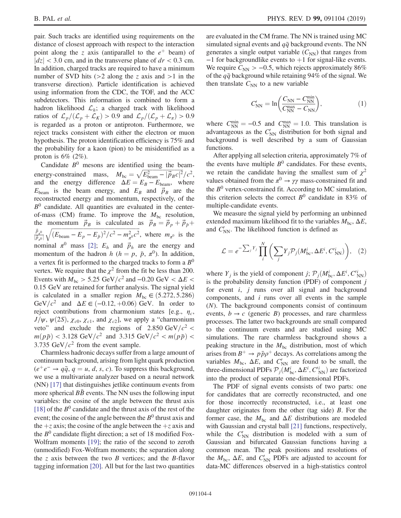pair. Such tracks are identified using requirements on the distance of closest approach with respect to the interaction point along the z axis (antiparallel to the  $e^+$  beam) of  $|dz|$  < 3.0 cm, and in the transverse plane of  $dr$  < 0.3 cm. In addition, charged tracks are required to have a minimum number of SVD hits ( $>2$  along the z axis and  $>1$  in the transverse direction). Particle identification is achieved using information from the CDC, the TOF, and the ACC subdetectors. This information is combined to form a hadron likelihood  $\mathcal{L}_h$ ; a charged track with likelihood ratios of  $\mathcal{L}_p/(\mathcal{L}_p + \mathcal{L}_K) > 0.9$  and  $\mathcal{L}_p/(\mathcal{L}_p + \mathcal{L}_\pi) > 0.9$ is regarded as a proton or antiproton. Furthermore, we reject tracks consistent with either the electron or muon hypothesis. The proton identification efficiency is 75% and the probability for a kaon (pion) to be misidentified as a proton is  $6\%$  (2%).

Candidate  $B^0$  mesons are identified using the beam-Candidate B<sup>o</sup> mesons are identified using the beam-<br>energy-constrained mass,  $M_{bc} = \sqrt{E_{\text{beam}}^2 - |\vec{p}_B c|^2}/c^2$ , and the energy difference  $\Delta E = E_B - E_{\text{beam}}$ , where  $E_{\text{beam}}$  is the beam energy, and  $E_B$  and  $\vec{p}_B$  are the reconstructed energy and momentum, respectively, of the  $B<sup>0</sup>$  candidate. All quantities are evaluated in the centerof-mass (CM) frame. To improve the  $M_{bc}$  resolution, the momentum  $\vec{p}_B$  is calculated as  $\vec{p}_B = \vec{p}_p + \vec{p}_{\bar{p}} +$  $\vec{p}_{\pi^0}$  $\frac{\vec{p}_{\pi^0}}{|\vec{p}_{\pi^0}|} \sqrt{(E_{\text{beam}} - E_p - E_{\bar{p}})^2/c^2 - m_{\pi^0}^2 c^2}$ , where  $m_{\pi^0}$  is the nominal  $\pi^0$  mass [\[2\];](#page-6-1)  $E_h$  and  $\vec{p}_h$  are the energy and momentum of the hadron h ( $h = p$ ,  $\bar{p}$ ,  $\pi^{0}$ ). In addition, a vertex fit is performed to the charged tracks to form a  $B^0$ vertex. We require that the  $\chi^2$  from the fit be less than 200. Events with  $M_{bc} > 5.25$  GeV/ $c^2$  and  $-0.20$  GeV <  $\Delta E$  < 0.15 GeV are retained for further analysis. The signal yield is calculated in a smaller region  $M_{bc} \in (5.272, 5.286)$ GeV/ $c^2$  and  $\Delta E \in (-0.12, +0.06)$  GeV. In order to reject contributions from charmonium states [e.g.,  $\eta_c$ ,  $J/\psi$ ,  $\psi$ (2S),  $\chi$ <sub>c0</sub>,  $\chi$ <sub>c1</sub>, and  $\chi$ <sub>c2</sub>], we apply a "charmonium veto" and exclude the regions of  $2.850 \text{ GeV}/c^2 <$  $m(p\bar{p}) < 3.128 \text{ GeV}/c^2 \text{ and } 3.315 \text{ GeV}/c^2 < m(p\bar{p}) <$ 3.735 GeV/ $c^2$  from the event sample.

Charmless hadronic decays suffer from a large amount of continuum background, arising from light quark production  $(e^+e^- \rightarrow q\bar{q}, q = u, d, s, c)$ . To suppress this background, we use a multivariate analyzer based on a neural network (NN) [\[17\]](#page-7-3) that distinguishes jetlike continuum events from more spherical  $BB$  events. The NN uses the following input variables: the cosine of the angle between the thrust axis [\[18\]](#page-7-4) of the  $B^0$  candidate and the thrust axis of the rest of the event; the cosine of the angle between the  $B^0$  thrust axis and the  $+z$  axis; the cosine of the angle between the  $+z$  axis and the  $B<sup>0</sup>$  candidate flight direction; a set of 18 modified Fox-Wolfram moments [\[19\];](#page-7-5) the ratio of the second to zeroth (unmodified) Fox-Wolfram moments; the separation along the z axis between the two  $B$  vertices; and the  $B$ -flavor tagging information [\[20\].](#page-7-6) All but for the last two quantities are evaluated in the CM frame. The NN is trained using MC simulated signal events and  $q\bar{q}$  background events. The NN generates a single output variable  $(C_{NN})$  that ranges from  $-1$  for backgroundlike events to  $+1$  for signal-like events. We require  $C_{\text{NN}} > -0.5$ , which rejects approximately 86% of the  $q\bar{q}$  background while retaining 94% of the signal. We then translate  $C_{NN}$  to a new variable

$$
C'_{\rm NN} = \ln\left(\frac{C_{\rm NN} - C_{\rm NN}^{\rm min}}{C_{\rm NN}^{\rm max} - C_{\rm NN}}\right),\tag{1}
$$

where  $C_{\text{NN}}^{\text{min}} = -0.5$  and  $C_{\text{NN}}^{\text{max}} = 1.0$ . This translation is advantageous as the  $C'_{NN}$  distribution for both signal and background is well described by a sum of Gaussian functions.

After applying all selection criteria, approximately 7% of the events have multiple  $B^0$  candidates. For these events, we retain the candidate having the smallest sum of  $\chi^2$ values obtained from the  $\pi^0 \rightarrow \gamma \gamma$  mass-constrained fit and the  $B<sup>0</sup>$  vertex-constrained fit. According to MC simulation, this criterion selects the correct  $B^0$  candidate in 83% of multiple-candidate events.

We measure the signal yield by performing an unbinned extended maximum likelihood fit to the variables  $M_{bc}$ ,  $\Delta E$ , and  $C'_{NN}$ . The likelihood function is defined as

$$
\mathcal{L} = e^{-\sum_j Y_j} \prod_i^N \left( \sum_j Y_j \mathcal{P}_j(M_{\text{bc}}^i, \Delta E^i, C_{\text{NN}}^i) \right), \quad (2)
$$

where  $Y_j$  is the yield of component j;  $\mathcal{P}_j(M_{\text{bc}}^i, \Delta E^i, C_{\text{NN}}^i)$ is the probability density function (PDF) of component  $j$ for event  $i$ ,  $j$  runs over all signal and background components, and  $i$  runs over all events in the sample (N). The background components consist of continuum events,  $b \rightarrow c$  (generic B) processes, and rare charmless processes. The latter two backgrounds are small compared to the continuum events and are studied using MC simulations. The rare charmless background shows a peaking structure in the  $M_{bc}$  distribution, most of which arises from  $B^+ \rightarrow p\bar{p}\rho^+$  decays. As correlations among the variables  $M_{bc}$ ,  $\Delta E$ , and  $C'_{NN}$  are found to be small, the three-dimensional PDFs  $\mathcal{P}_j(\dot{M}_{bc}^i, \Delta E^i, C_{NN}^i)$  are factorized into the product of separate one-dimensional PDFs.

The PDF of signal events consists of two parts: one for candidates that are correctly reconstructed, and one for those incorrectly reconstructed, i.e., at least one daughter originates from the other (tag side) B. For the former case, the  $M_{bc}$  and  $\Delta E$  distributions are modeled with Gaussian and crystal ball [\[21\]](#page-7-7) functions, respectively, while the  $C'_{NN}$  distribution is modeled with a sum of Gaussian and bifurcated Gaussian functions having a common mean. The peak positions and resolutions of the  $M_{\text{bc}}$ ,  $\Delta E$ , and  $C_{\text{NN}}'$  PDFs are adjusted to account for data-MC differences observed in a high-statistics control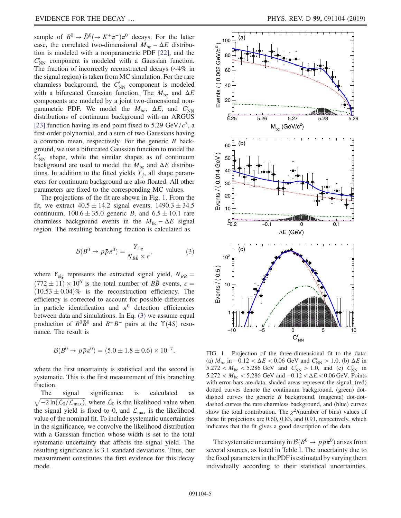sample of  $B^0 \to \bar{D}^0 (\to K^+\pi^-)\pi^0$  decays. For the latter case, the correlated two-dimensional  $M_{bc} - \Delta E$  distribution is modeled with a nonparametric PDF [\[22\],](#page-7-8) and the  $C'_{NN}$  component is modeled with a Gaussian function. The fraction of incorrectly reconstructed decays (∼4% in the signal region) is taken from MC simulation. For the rare charmless background, the  $C'_{NN}$  component is modeled with a bifurcated Gaussian function. The  $M_{bc}$  and  $\Delta E$ components are modeled by a joint two-dimensional nonparametric PDF. We model the  $M_{\text{bc}}$ ,  $\Delta E$ , and  $C'_{\text{NN}}$ distributions of continuum background with an ARGUS [\[23\]](#page-7-9) function having its end point fixed to 5.29 GeV/ $c^2$ , a first-order polynomial, and a sum of two Gaussians having a common mean, respectively. For the generic B background, we use a bifurcated Gaussian function to model the  $\tilde{C}_{NN}$  shape, while the similar shapes as of continuum background are used to model the  $M_{bc}$  and  $\Delta E$  distributions. In addition to the fitted yields  $Y_i$ , all shape parameters for continuum background are also floated. All other parameters are fixed to the corresponding MC values.

<span id="page-4-1"></span>The projections of the fit are shown in Fig. [1.](#page-4-0) From the fit, we extract  $40.5 \pm 14.2$  signal events,  $1490.3 \pm 34.5$ continuum,  $100.6 \pm 35.0$  generic B, and  $6.5 \pm 10.1$  rare charmless background events in the  $M_{bc} - \Delta E$  signal region. The resulting branching fraction is calculated as

$$
\mathcal{B}(B^0 \to p\bar{p}\pi^0) = \frac{Y_{\text{sig}}}{N_{B\bar{B}} \times \varepsilon},\tag{3}
$$

where  $Y_{sig}$  represents the extracted signal yield,  $N_{B\bar{B}} =$  $(772 \pm 11) \times 10^6$  is the total number of  $B\bar{B}$  events,  $\varepsilon =$  $(10.53 \pm 0.04)\%$  is the reconstruction efficiency. The efficiency is corrected to account for possible differences in particle identification and  $\pi^0$  detection efficiencies between data and simulations. In Eq. [\(3\)](#page-4-1) we assume equal production of  $B^0\overline{B}{}^0$  and  $B^+B^-$  pairs at the  $\Upsilon(4S)$  resonance. The result is

$$
\mathcal{B}(B^0 \to p\bar{p}\pi^0) = (5.0 \pm 1.8 \pm 0.6) \times 10^{-7},
$$

where the first uncertainty is statistical and the second is systematic. This is the first measurement of this branching fraction.

The signal significance is calculated ffiffiffiffiffiffiffiffiffiffiffiffiffiffiffiffiffiffiffiffiffiffiffiffiffiffiffiffiffiffiffi  $\sqrt{-2 \ln(\mathcal{L}_0/\mathcal{L}_{\text{max}})}$ , where  $\mathcal{L}_0$  is the likelihood value when the signal yield is fixed to 0, and  $\mathcal{L}_{\text{max}}$  is the likelihood value of the nominal fit. To include systematic uncertainties in the significance, we convolve the likelihood distribution with a Gaussian function whose width is set to the total systematic uncertainty that affects the signal yield. The resulting significance is 3.1 standard deviations. Thus, our measurement constitutes the first evidence for this decay mode.

<span id="page-4-0"></span>

FIG. 1. Projection of the three-dimensional fit to the data: (a)  $M_{\text{bc}}$  in  $-0.12 < \Delta E < 0.06$  GeV and  $C_{\text{NN}}' > 1.0$ , (b)  $\Delta E$  in  $5.272 < M_{\text{bc}} < 5.286 \text{ GeV}$  and  $C'_{\text{NN}} > 1.0$ , and (c)  $C'_{\text{NN}}$  in  $5.272 < M_{\text{bc}} < 5.286 \text{ GeV}$  and  $-0.12 < \Delta E < 0.06 \text{ GeV}$ . Points with error bars are data, shaded areas represent the signal, (red) dotted curves denote the continuum background, (green) dotdashed curves the generic B background, (magenta) dot-dotdashed curves the rare charmless background, and (blue) curves show the total contribution. The  $\chi^2$ /(number of bins) values of these fit projections are 0.60, 0.83, and 0.91, respectively, which indicates that the fit gives a good description of the data.

The systematic uncertainty in  $\mathcal{B}(B^0 \to p\bar{p}\pi^0)$  arises from several sources, as listed in Table [I](#page-5-0). The uncertainty due to the fixed parameters in the PDF is estimated by varying them individually according to their statistical uncertainties.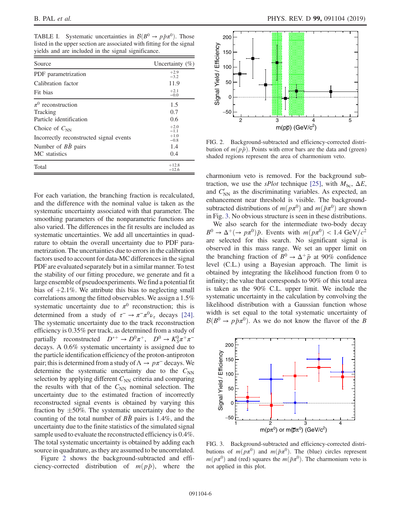<span id="page-5-0"></span>TABLE I. Systematic uncertainties in  $\mathcal{B}(B^0 \to p\bar{p}\pi^0)$ . Those listed in the upper section are associated with fitting for the signal yields and are included in the signal significance.

| Source                                  | Uncertainty $(\%)$ |
|-----------------------------------------|--------------------|
| PDF parametrization                     | $+2.9$<br>$-3.2$   |
| Calibration factor                      | 11.9               |
| Fit bias                                | $+2.1$<br>$-0.0$   |
| $\pi^0$ reconstruction                  | 1.5                |
| Tracking                                | 0.7                |
| Particle identification                 | 0.6                |
| Choice of $C_{NN}$                      | $+2.0$<br>$-1.1$   |
| Incorrectly reconstructed signal events | $+1.0$<br>$-0.8$   |
| Number of $B\bar{B}$ pairs              | 1.4                |
| MC statistics                           | 0.4                |
| Total                                   | $+12.8$<br>$-12.6$ |

For each variation, the branching fraction is recalculated, and the difference with the nominal value is taken as the systematic uncertainty associated with that parameter. The smoothing parameters of the nonparametric functions are also varied. The differences in the fit results are included as systematic uncertainties. We add all uncertainties in quadrature to obtain the overall uncertainty due to PDF parametrization. The uncertainties due to errors in the calibration factors used to account for data-MC differences in the signal PDF are evaluated separately but in a similar manner. To test the stability of our fitting procedure, we generate and fit a large ensemble of pseudoexperiments. We find a potential fit bias of  $+2.1\%$ . We attribute this bias to neglecting small correlations among the fitted observables. We assign a 1.5% systematic uncertainty due to  $\pi^0$  reconstruction; this is determined from a study of  $\tau^- \to \pi^- \pi^0 \nu_{\tau}$  decays [\[24\]](#page-7-10). The systematic uncertainty due to the track reconstruction efficiency is 0.35% per track, as determined from a study of partially reconstructed  $D^{*+} \to D^0 \pi^+$ ,  $D^0 \to K_S^0 \pi^+ \pi^$ decays. A 0.6% systematic uncertainty is assigned due to the particle identification efficiency of the proton-antiproton pair; this is determined from a study of  $\Lambda \to p\pi^-$  decays. We determine the systematic uncertainty due to the  $C_{NN}$ selection by applying different  $C_{NN}$  criteria and comparing the results with that of the  $C_{NN}$  nominal selection. The uncertainty due to the estimated fraction of incorrectly reconstructed signal events is obtained by varying this fraction by  $\pm 50\%$ . The systematic uncertainty due to the counting of the total number of  $B\bar{B}$  pairs is 1.4%, and the uncertainty due to the finite statistics of the simulated signal sample used to evaluate the reconstructed efficiency is 0.4%. The total systematic uncertainty is obtained by adding each source in quadrature, as they are assumed to be uncorrelated.

Figure [2](#page-5-1) shows the background-subtracted and efficiency-corrected distribution of  $m(p\bar{p})$ , where the

<span id="page-5-1"></span>

FIG. 2. Background-subtracted and efficiency-corrected distribution of  $m(p\bar{p})$ . Points with error bars are the data and (green) shaded regions represent the area of charmonium veto.

charmonium veto is removed. For the background subtraction, we use the *sPlot* technique [\[25\],](#page-7-11) with  $M_{bc}$ ,  $\Delta E$ , and  $C_{NN}'$  as the discriminating variables. As expected, an enhancement near threshold is visible. The backgroundsubtracted distributions of  $m(p\pi^0)$  and  $m(\bar{p}\pi^0)$  are shown in Fig. [3](#page-5-2). No obvious structure is seen in these distributions.

We also search for the intermediate two-body decay  $B^0 \rightarrow \Delta^+ (\rightarrow p\pi^0)\bar{p}$ . Events with  $m(p\pi^0) < 1.4 \text{ GeV}/c^2$ are selected for this search. No significant signal is observed in this mass range. We set an upper limit on the branching fraction of  $B^0 \rightarrow \Delta^+ \bar{p}$  at 90% confidence level (C.L.) using a Bayesian approach. The limit is obtained by integrating the likelihood function from 0 to infinity; the value that corresponds to 90% of this total area is taken as the 90% C.L. upper limit. We include the systematic uncertainty in the calculation by convolving the likelihood distribution with a Gaussian function whose width is set equal to the total systematic uncertainty of  $\mathcal{B}(B^0 \to p\bar{p}\pi^0)$ . As we do not know the flavor of the B

<span id="page-5-2"></span>

FIG. 3. Background-subtracted and efficiency-corrected distributions of  $m(p\pi^0)$  and  $m(\bar{p}\pi^0)$ . The (blue) circles represent  $m(p\pi^0)$  and (red) squares the  $m(\bar{p}\pi^0)$ . The charmonium veto is not applied in this plot.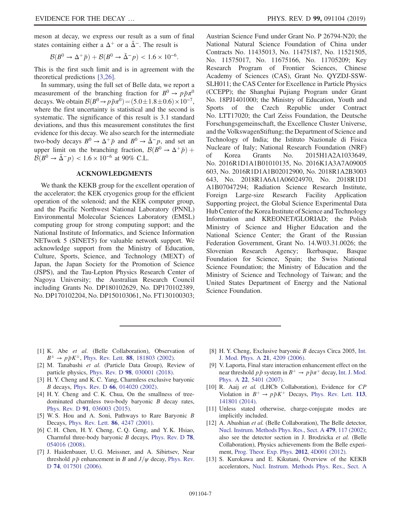meson at decay, we express our result as a sum of final states containing either a  $\Delta^+$  or a  $\Delta^-$ . The result is

$$
\mathcal{B}(B^0 \to \Delta^+ \bar{p}) + \mathcal{B}(B^0 \to \bar{\Delta}^- p) < 1.6 \times 10^{-6}.
$$

This is the first such limit and is in agreement with the theoretical predictions [\[3,26\]](#page-6-2).

In summary, using the full set of Belle data, we report a measurement of the branching fraction for  $B^0 \rightarrow p\bar{p}\pi^0$ decays. We obtain  $\mathcal{B}(B^0 \to p\bar{p}\pi^0) = (5.0 \pm 1.8 \pm 0.6) \times 10^{-7}$ , where the first uncertainty is statistical and the second is systematic. The significance of this result is 3.1 standard deviations, and thus this measurement constitutes the first evidence for this decay. We also search for the intermediate two-body decays  $B^0 \to \Delta^+ \bar{p}$  and  $B^0 \to \bar{\Delta}^- p$ , and set an upper limit on the branching fraction,  $\mathcal{B}(B^0 \to \Delta^+ \bar{p})$  +  $\mathcal{B}(B^0 \to \bar{\Delta}^- p) < 1.6 \times 10^{-6}$  at 90% C.L.

## ACKNOWLEDGMENTS

We thank the KEKB group for the excellent operation of the accelerator; the KEK cryogenics group for the efficient operation of the solenoid; and the KEK computer group, and the Pacific Northwest National Laboratory (PNNL) Environmental Molecular Sciences Laboratory (EMSL) computing group for strong computing support; and the National Institute of Informatics, and Science Information NETwork 5 (SINET5) for valuable network support. We acknowledge support from the Ministry of Education, Culture, Sports, Science, and Technology (MEXT) of Japan, the Japan Society for the Promotion of Science (JSPS), and the Tau-Lepton Physics Research Center of Nagoya University; the Australian Research Council including Grants No. DP180102629, No. DP170102389, No. DP170102204, No. DP150103061, No. FT130100303; Austrian Science Fund under Grant No. P 26794-N20; the National Natural Science Foundation of China under Contracts No. 11435013, No. 11475187, No. 11521505, No. 11575017, No. 11675166, No. 11705209; Key Research Program of Frontier Sciences, Chinese Academy of Sciences (CAS), Grant No. QYZDJ-SSW-SLH011; the CAS Center for Excellence in Particle Physics (CCEPP); the Shanghai Pujiang Program under Grant No. 18PJ1401000; the Ministry of Education, Youth and Sports of the Czech Republic under Contract No. LTT17020; the Carl Zeiss Foundation, the Deutsche Forschungsgemeinschaft, the Excellence Cluster Universe, and the VolkswagenStiftung; the Department of Science and Technology of India; the Istituto Nazionale di Fisica Nucleare of Italy; National Research Foundation (NRF) of Korea Grants No. 2015H1A2A1033649, No. 2016R1D1A1B01010135, No. 2016K1A3A7A09005 603, No. 2016R1D1A1B02012900, No. 2018R1A2B3003 643, No. 2018R1A6A1A06024970, No. 2018R1D1 A1B07047294; Radiation Science Research Institute, Foreign Large-size Research Facility Application Supporting project, the Global Science Experimental Data Hub Center of the Korea Institute of Science and Technology Information and KREONET/GLORIAD; the Polish Ministry of Science and Higher Education and the National Science Center; the Grant of the Russian Federation Government, Grant No. 14.W03.31.0026; the Slovenian Research Agency; Ikerbasque, Basque Foundation for Science, Spain; the Swiss National Science Foundation; the Ministry of Education and the Ministry of Science and Technology of Taiwan; and the United States Department of Energy and the National Science Foundation.

- <span id="page-6-0"></span>[1] K. Abe et al. (Belle Collaboration), Observation of  $B^{\pm} \to p\bar{p}K^{\pm}$ , Phys. Rev. Lett. **88**[, 181803 \(2002\)](https://doi.org/10.1103/PhysRevLett.88.181803).
- <span id="page-6-1"></span>[2] M. Tanabashi et al. (Particle Data Group), Review of particle physics, Phys. Rev. D 98[, 030001 \(2018\).](https://doi.org/10.1103/PhysRevD.98.030001)
- <span id="page-6-2"></span>[3] H. Y. Cheng and K. C. Yang, Charmless exclusive baryonic B decays, Phys. Rev. D 66[, 014020 \(2002\)](https://doi.org/10.1103/PhysRevD.66.014020).
- [4] H.Y. Cheng and C.K. Chua, On the smallness of treedominated charmless two-body baryonic B decay rates, Phys. Rev. D 91[, 036003 \(2015\)](https://doi.org/10.1103/PhysRevD.91.036003).
- [5] W. S. Hou and A. Soni, Pathways to Rare Baryonic B Decays, [Phys. Rev. Lett.](https://doi.org/10.1103/PhysRevLett.86.4247) 86, 4247 (2001).
- [6] C. H. Chen, H. Y. Cheng, C. Q. Geng, and Y. K. Hsiao, Charmful three-body baryonic B decays, [Phys. Rev. D](https://doi.org/10.1103/PhysRevD.78.054016) 78, [054016 \(2008\).](https://doi.org/10.1103/PhysRevD.78.054016)
- <span id="page-6-3"></span>[7] J. Haidenbauer, U. G. Meissner, and A. Sibirtsev, Near threshold  $p\bar{p}$  enhancement in B and  $J/\psi$  decay, [Phys. Rev.](https://doi.org/10.1103/PhysRevD.74.017501) D **74**[, 017501 \(2006\)](https://doi.org/10.1103/PhysRevD.74.017501).
- [8] H. Y. Cheng, Exclusive baryonic B decays Circa 2005, [Int.](https://doi.org/10.1142/S0217751X06033969) [J. Mod. Phys. A](https://doi.org/10.1142/S0217751X06033969) 21, 4209 (2006).
- [9] V. Laporta, Final stare interaction enhancement effect on the near threshold  $p\bar{p}$  system in  $B^+ \rightarrow p\bar{p}\pi^+$  decay, [Int. J. Mod.](https://doi.org/10.1142/S0217751X07037949) Phys. A 22[, 5401 \(2007\).](https://doi.org/10.1142/S0217751X07037949)
- <span id="page-6-4"></span>[10] R. Aaij et al. (LHCb Collaboration), Evidence for CP Violation in  $B^+ \rightarrow p\bar{p}K^+$  Decays, [Phys. Rev. Lett.](https://doi.org/10.1103/PhysRevLett.113.141801) 113, [141801 \(2014\)](https://doi.org/10.1103/PhysRevLett.113.141801).
- <span id="page-6-5"></span>[11] Unless stated otherwise, charge-conjugate modes are implicitly included.
- <span id="page-6-6"></span>[12] A. Abashian et al. (Belle Collaboration), The Belle detector, [Nucl. Instrum. Methods Phys. Res., Sect. A](https://doi.org/10.1016/S0168-9002(01)02013-7) 479, 117 (2002); also see the detector section in J. Brodzicka et al. (Belle Collaboration), Physics achievements from the Belle experiment, [Prog. Theor. Exp. Phys.](https://doi.org/10.1093/ptep/pts072) 2012, 4D001 (2012).
- <span id="page-6-7"></span>[13] S. Kurokawa and E. Kikutani, Overview of the KEKB accelerators, [Nucl. Instrum. Methods Phys. Res., Sect. A](https://doi.org/10.1016/S0168-9002(02)01771-0)